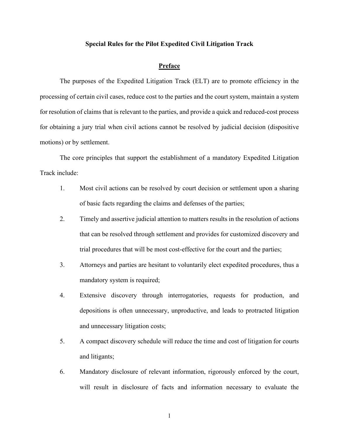#### **Special Rules for the Pilot Expedited Civil Litigation Track**

#### **Preface**

The purposes of the Expedited Litigation Track (ELT) are to promote efficiency in the processing of certain civil cases, reduce cost to the parties and the court system, maintain a system for resolution of claims that is relevant to the parties, and provide a quick and reduced-cost process for obtaining a jury trial when civil actions cannot be resolved by judicial decision (dispositive motions) or by settlement.

The core principles that support the establishment of a mandatory Expedited Litigation Track include:

- 1. Most civil actions can be resolved by court decision or settlement upon a sharing of basic facts regarding the claims and defenses of the parties;
- 2. Timely and assertive judicial attention to matters results in the resolution of actions that can be resolved through settlement and provides for customized discovery and trial procedures that will be most cost-effective for the court and the parties;
- 3. Attorneys and parties are hesitant to voluntarily elect expedited procedures, thus a mandatory system is required;
- 4. Extensive discovery through interrogatories, requests for production, and depositions is often unnecessary, unproductive, and leads to protracted litigation and unnecessary litigation costs;
- 5. A compact discovery schedule will reduce the time and cost of litigation for courts and litigants;
- 6. Mandatory disclosure of relevant information, rigorously enforced by the court, will result in disclosure of facts and information necessary to evaluate the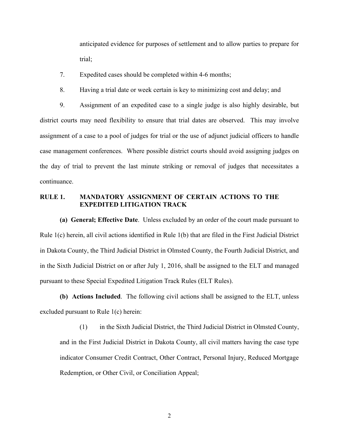anticipated evidence for purposes of settlement and to allow parties to prepare for trial;

- 7. Expedited cases should be completed within 4-6 months;
- 8. Having a trial date or week certain is key to minimizing cost and delay; and

9. Assignment of an expedited case to a single judge is also highly desirable, but district courts may need flexibility to ensure that trial dates are observed. This may involve assignment of a case to a pool of judges for trial or the use of adjunct judicial officers to handle case management conferences. Where possible district courts should avoid assigning judges on the day of trial to prevent the last minute striking or removal of judges that necessitates a continuance.

### **RULE 1. MANDATORY ASSIGNMENT OF CERTAIN ACTIONS TO THE EXPEDITED LITIGATION TRACK**

**(a) General; Effective Date**. Unless excluded by an order of the court made pursuant to Rule 1(c) herein, all civil actions identified in Rule 1(b) that are filed in the First Judicial District in Dakota County, the Third Judicial District in Olmsted County, the Fourth Judicial District, and in the Sixth Judicial District on or after July 1, 2016, shall be assigned to the ELT and managed pursuant to these Special Expedited Litigation Track Rules (ELT Rules).

**(b) Actions Included**. The following civil actions shall be assigned to the ELT, unless excluded pursuant to Rule 1(c) herein:

(1) in the Sixth Judicial District, the Third Judicial District in Olmsted County, and in the First Judicial District in Dakota County, all civil matters having the case type indicator Consumer Credit Contract, Other Contract, Personal Injury, Reduced Mortgage Redemption, or Other Civil, or Conciliation Appeal;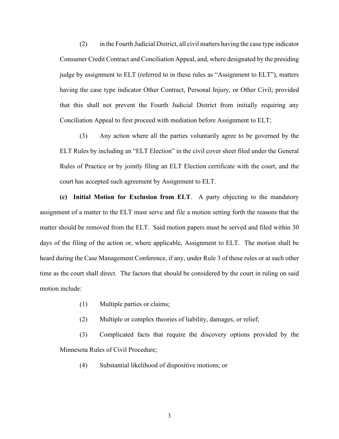(2) in the Fourth Judicial District, all civil matters having the case type indicator Consumer Credit Contract and Conciliation Appeal, and, where designated by the presiding judge by assignment to ELT (referred to in these rules as "Assignment to ELT"), matters having the case type indicator Other Contract, Personal Injury, or Other Civil; provided that this shall not prevent the Fourth Judicial District from initially requiring any Conciliation Appeal to first proceed with mediation before Assignment to ELT;

(3) Any action where all the parties voluntarily agree to be governed by the ELT Rules by including an "ELT Election" in the civil cover sheet filed under the General Rules of Practice or by jointly filing an ELT Election certificate with the court, and the court has accepted such agreement by Assignment to ELT.

**(c) Initial Motion for Exclusion from ELT**. A party objecting to the mandatory assignment of a matter to the ELT must serve and file a motion setting forth the reasons that the matter should be removed from the ELT. Said motion papers must be served and filed within 30 days of the filing of the action or, where applicable, Assignment to ELT. The motion shall be heard during the Case Management Conference, if any, under Rule 3 of these rules or at such other time as the court shall direct. The factors that should be considered by the court in ruling on said motion include:

- (1) Multiple parties or claims;
- (2) Multiple or complex theories of liability, damages, or relief;

(3) Complicated facts that require the discovery options provided by the Minnesota Rules of Civil Procedure;

(4) Substantial likelihood of dispositive motions; or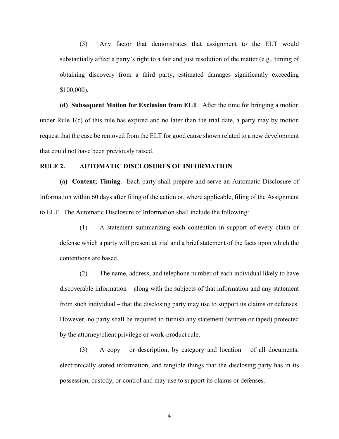(5) Any factor that demonstrates that assignment to the ELT would substantially affect a party's right to a fair and just resolution of the matter (e.g., timing of obtaining discovery from a third party, estimated damages significantly exceeding \$100,000).

**(d) Subsequent Motion for Exclusion from ELT**. After the time for bringing a motion under Rule 1(c) of this rule has expired and no later than the trial date, a party may by motion request that the case be removed from the ELT for good cause shown related to a new development that could not have been previously raised.

#### **RULE 2. AUTOMATIC DISCLOSURES OF INFORMATION**

**(a) Content; Timing**. Each party shall prepare and serve an Automatic Disclosure of Information within 60 days after filing of the action or, where applicable, filing of the Assignment to ELT. The Automatic Disclosure of Information shall include the following:

(1) A statement summarizing each contention in support of every claim or defense which a party will present at trial and a brief statement of the facts upon which the contentions are based.

(2) The name, address, and telephone number of each individual likely to have discoverable information – along with the subjects of that information and any statement from such individual – that the disclosing party may use to support its claims or defenses. However, no party shall be required to furnish any statement (written or taped) protected by the attorney/client privilege or work-product rule.

(3) A copy – or description, by category and location – of all documents, electronically stored information, and tangible things that the disclosing party has in its possession, custody, or control and may use to support its claims or defenses.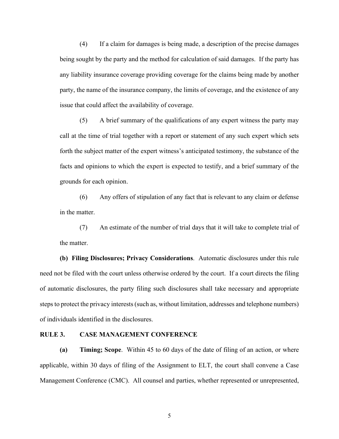(4) If a claim for damages is being made, a description of the precise damages being sought by the party and the method for calculation of said damages. If the party has any liability insurance coverage providing coverage for the claims being made by another party, the name of the insurance company, the limits of coverage, and the existence of any issue that could affect the availability of coverage.

(5) A brief summary of the qualifications of any expert witness the party may call at the time of trial together with a report or statement of any such expert which sets forth the subject matter of the expert witness's anticipated testimony, the substance of the facts and opinions to which the expert is expected to testify, and a brief summary of the grounds for each opinion.

(6) Any offers of stipulation of any fact that is relevant to any claim or defense in the matter.

(7) An estimate of the number of trial days that it will take to complete trial of the matter.

**(b) Filing Disclosures; Privacy Considerations**. Automatic disclosures under this rule need not be filed with the court unless otherwise ordered by the court. If a court directs the filing of automatic disclosures, the party filing such disclosures shall take necessary and appropriate steps to protect the privacy interests (such as, without limitation, addresses and telephone numbers) of individuals identified in the disclosures.

#### **RULE 3. CASE MANAGEMENT CONFERENCE**

**(a) Timing; Scope**. Within 45 to 60 days of the date of filing of an action, or where applicable, within 30 days of filing of the Assignment to ELT, the court shall convene a Case Management Conference (CMC). All counsel and parties, whether represented or unrepresented,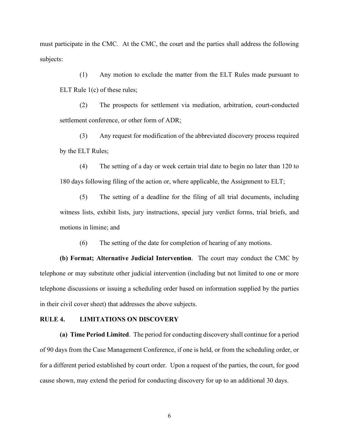must participate in the CMC. At the CMC, the court and the parties shall address the following subjects:

(1) Any motion to exclude the matter from the ELT Rules made pursuant to ELT Rule 1(c) of these rules;

(2) The prospects for settlement via mediation, arbitration, court-conducted settlement conference, or other form of ADR;

(3) Any request for modification of the abbreviated discovery process required by the ELT Rules;

(4) The setting of a day or week certain trial date to begin no later than 120 to 180 days following filing of the action or, where applicable, the Assignment to ELT;

(5) The setting of a deadline for the filing of all trial documents, including witness lists, exhibit lists, jury instructions, special jury verdict forms, trial briefs, and motions in limine; and

(6) The setting of the date for completion of hearing of any motions.

**(b) Format; Alternative Judicial Intervention**. The court may conduct the CMC by telephone or may substitute other judicial intervention (including but not limited to one or more telephone discussions or issuing a scheduling order based on information supplied by the parties in their civil cover sheet) that addresses the above subjects.

#### **RULE 4. LIMITATIONS ON DISCOVERY**

**(a) Time Period Limited**. The period for conducting discovery shall continue for a period of 90 days from the Case Management Conference, if one is held, or from the scheduling order, or for a different period established by court order. Upon a request of the parties, the court, for good cause shown, may extend the period for conducting discovery for up to an additional 30 days.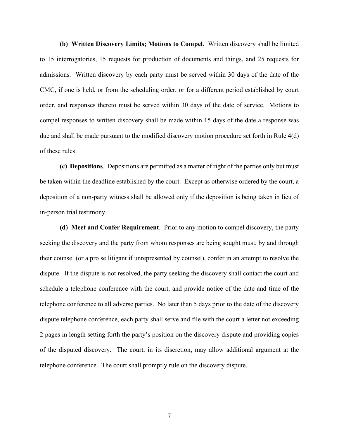**(b) Written Discovery Limits; Motions to Compel**. Written discovery shall be limited to 15 interrogatories, 15 requests for production of documents and things, and 25 requests for admissions. Written discovery by each party must be served within 30 days of the date of the CMC, if one is held, or from the scheduling order, or for a different period established by court order, and responses thereto must be served within 30 days of the date of service. Motions to compel responses to written discovery shall be made within 15 days of the date a response was due and shall be made pursuant to the modified discovery motion procedure set forth in Rule 4(d) of these rules.

**(c) Depositions**. Depositions are permitted as a matter of right of the parties only but must be taken within the deadline established by the court. Except as otherwise ordered by the court, a deposition of a non-party witness shall be allowed only if the deposition is being taken in lieu of in-person trial testimony.

**(d) Meet and Confer Requirement**. Prior to any motion to compel discovery, the party seeking the discovery and the party from whom responses are being sought must, by and through their counsel (or a pro se litigant if unrepresented by counsel), confer in an attempt to resolve the dispute. If the dispute is not resolved, the party seeking the discovery shall contact the court and schedule a telephone conference with the court, and provide notice of the date and time of the telephone conference to all adverse parties. No later than 5 days prior to the date of the discovery dispute telephone conference, each party shall serve and file with the court a letter not exceeding 2 pages in length setting forth the party's position on the discovery dispute and providing copies of the disputed discovery. The court, in its discretion, may allow additional argument at the telephone conference. The court shall promptly rule on the discovery dispute.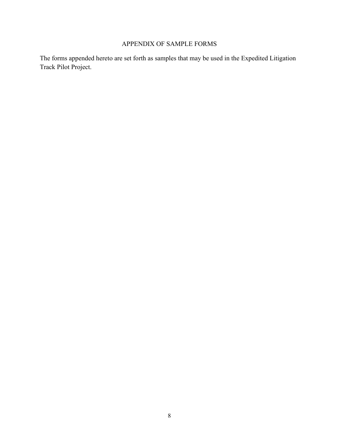## APPENDIX OF SAMPLE FORMS

The forms appended hereto are set forth as samples that may be used in the Expedited Litigation Track Pilot Project.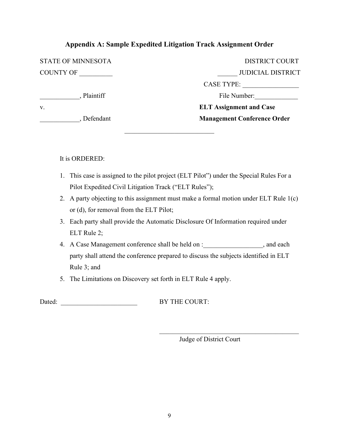## **Appendix A: Sample Expedited Litigation Track Assignment Order**

| Defendant                 | <b>Management Conference Order</b> |
|---------------------------|------------------------------------|
| V.                        | <b>ELT Assignment and Case</b>     |
| Plaintiff                 | File Number:                       |
|                           | <b>CASE TYPE:</b>                  |
| <b>COUNTY OF</b>          | <b>JUDICIAL DISTRICT</b>           |
| <b>STATE OF MINNESOTA</b> | <b>DISTRICT COURT</b>              |

 $\overline{\phantom{a}}$  , and the set of the set of the set of the set of the set of the set of the set of the set of the set of the set of the set of the set of the set of the set of the set of the set of the set of the set of the s

It is ORDERED:

- 1. This case is assigned to the pilot project (ELT Pilot") under the Special Rules For a Pilot Expedited Civil Litigation Track ("ELT Rules");
- 2. A party objecting to this assignment must make a formal motion under ELT Rule 1(c) or (d), for removal from the ELT Pilot;
- 3. Each party shall provide the Automatic Disclosure Of Information required under ELT Rule 2;
- 4. A Case Management conference shall be held on :  $\qquad \qquad$  , and each party shall attend the conference prepared to discuss the subjects identified in ELT Rule 3; and
- 5. The Limitations on Discovery set forth in ELT Rule 4 apply.

Dated: \_\_\_\_\_\_\_\_\_\_\_\_\_\_\_\_\_\_\_\_\_\_\_ BY THE COURT:

Judge of District Court

 $\mathcal{L}_\mathcal{L}$  , where  $\mathcal{L}_\mathcal{L}$  , we have the set of the set of the set of the set of the set of the set of the set of the set of the set of the set of the set of the set of the set of the set of the set of the set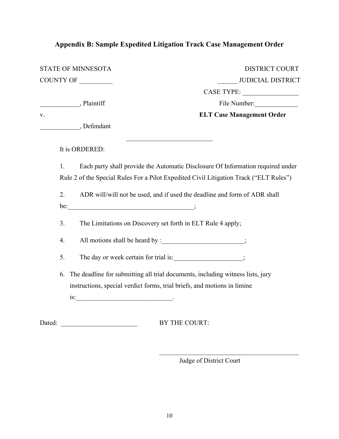# **Appendix B: Sample Expedited Litigation Track Case Management Order**

|        |    | <b>DISTRICT COURT</b><br><b>STATE OF MINNESOTA</b>                                     |
|--------|----|----------------------------------------------------------------------------------------|
|        |    | <b>JUDICIAL DISTRICT</b><br>COUNTY OF                                                  |
|        |    |                                                                                        |
|        |    | File Number:<br>Plaintiff                                                              |
| V.     |    | <b>ELT Case Management Order</b>                                                       |
|        |    | Defendant                                                                              |
|        |    | It is ORDERED:                                                                         |
|        | 1. | Each party shall provide the Automatic Disclosure Of Information required under        |
|        |    | Rule 2 of the Special Rules For a Pilot Expedited Civil Litigation Track ("ELT Rules") |
|        | 2. | ADR will/will not be used, and if used the deadline and form of ADR shall              |
|        |    | $be:$ $\qquad \qquad$ ;                                                                |
|        | 3. | The Limitations on Discovery set forth in ELT Rule 4 apply;                            |
|        | 4. | All motions shall be heard by : ________________________;                              |
|        | 5. | The day or week certain for trial is: ; ; ; ; ; ;                                      |
|        | 6. | The deadline for submitting all trial documents, including witness lists, jury         |
|        |    | instructions, special verdict forms, trial briefs, and motions in limine               |
|        |    | $\frac{1}{2}$ is:                                                                      |
| Dated: |    | BY THE COURT:                                                                          |

Judge of District Court

 $\mathcal{L}_\mathcal{L}$  , which is a set of the set of the set of the set of the set of the set of the set of the set of the set of the set of the set of the set of the set of the set of the set of the set of the set of the set of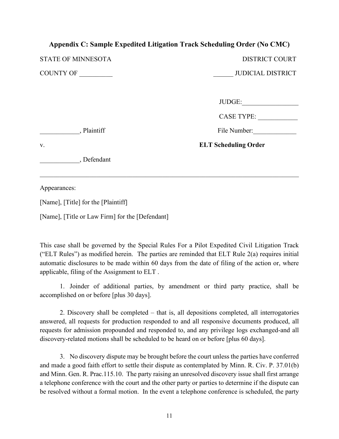## **Appendix C: Sample Expedited Litigation Track Scheduling Order (No CMC)**

DISTRICT COURT

COUNTY OF \_\_\_\_\_\_\_\_\_\_ \_\_\_\_\_\_ JUDICIAL DISTRICT

| JUDGE: |  |
|--------|--|
|        |  |

| <b>CASE TYPE:</b> |  |
|-------------------|--|
|                   |  |

, Plaintiff File Number:

v. **ELT Scheduling Order**

\_\_\_\_\_\_\_\_\_\_\_\_, Defendant

Appearances:

[Name], [Title] for the [Plaintiff]

[Name], [Title or Law Firm] for the [Defendant]

This case shall be governed by the Special Rules For a Pilot Expedited Civil Litigation Track ("ELT Rules") as modified herein. The parties are reminded that ELT Rule 2(a) requires initial automatic disclosures to be made within 60 days from the date of filing of the action or, where applicable, filing of the Assignment to ELT .

\_\_\_\_\_\_\_\_\_\_\_\_\_\_\_\_\_\_\_\_\_\_\_\_\_\_\_\_\_\_\_\_\_\_\_\_\_\_\_\_\_\_\_\_\_\_\_\_\_\_\_\_\_\_\_\_\_\_\_\_\_\_\_\_\_\_\_\_\_\_\_\_\_\_\_\_\_\_

1. Joinder of additional parties, by amendment or third party practice, shall be accomplished on or before [plus 30 days].

2. Discovery shall be completed – that is, all depositions completed, all interrogatories answered, all requests for production responded to and all responsive documents produced, all requests for admission propounded and responded to, and any privilege logs exchanged-and all discovery-related motions shall be scheduled to be heard on or before [plus 60 days].

3. No discovery dispute may be brought before the court unless the parties have conferred and made a good faith effort to settle their dispute as contemplated by Minn. R. Civ. P. 37.01(b) and Minn. Gen. R. Prac.115.10. The party raising an unresolved discovery issue shall first arrange a telephone conference with the court and the other party or parties to determine if the dispute can be resolved without a formal motion. In the event a telephone conference is scheduled, the party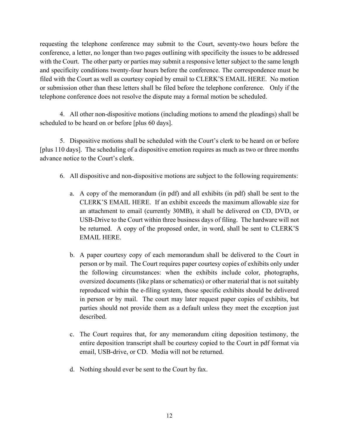requesting the telephone conference may submit to the Court, seventy-two hours before the conference, a letter, no longer than two pages outlining with specificity the issues to be addressed with the Court. The other party or parties may submit a responsive letter subject to the same length and specificity conditions twenty-four hours before the conference. The correspondence must be filed with the Court as well as courtesy copied by email to CLERK'S EMAIL HERE. No motion or submission other than these letters shall be filed before the telephone conference. Only if the telephone conference does not resolve the dispute may a formal motion be scheduled.

4. All other non-dispositive motions (including motions to amend the pleadings) shall be scheduled to be heard on or before [plus 60 days].

5. Dispositive motions shall be scheduled with the Court's clerk to be heard on or before [plus 110 days]. The scheduling of a dispositive emotion requires as much as two or three months advance notice to the Court's clerk.

- 6. All dispositive and non-dispositive motions are subject to the following requirements:
	- a. A copy of the memorandum (in pdf) and all exhibits (in pdf) shall be sent to the CLERK'S EMAIL HERE. If an exhibit exceeds the maximum allowable size for an attachment to email (currently 30MB), it shall be delivered on CD, DVD, or USB-Drive to the Court within three business days of filing. The hardware will not be returned. A copy of the proposed order, in word, shall be sent to CLERK'S EMAIL HERE.
	- b. A paper courtesy copy of each memorandum shall be delivered to the Court in person or by mail. The Court requires paper courtesy copies of exhibits only under the following circumstances: when the exhibits include color, photographs, oversized documents (like plans or schematics) or other material that is not suitably reproduced within the e-filing system, those specific exhibits should be delivered in person or by mail. The court may later request paper copies of exhibits, but parties should not provide them as a default unless they meet the exception just described.
	- c. The Court requires that, for any memorandum citing deposition testimony, the entire deposition transcript shall be courtesy copied to the Court in pdf format via email, USB-drive, or CD. Media will not be returned.
	- d. Nothing should ever be sent to the Court by fax.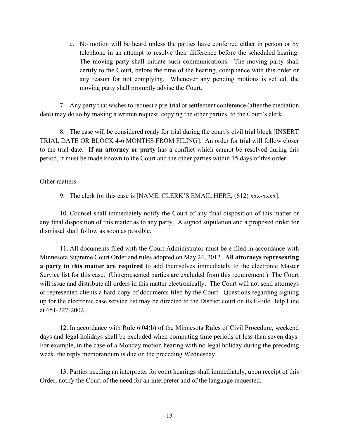e. No motion will be heard unless the parties have conferred either in person or by telephone in an attempt to resolve their difference before the scheduled hearing. The moving party shall initiate such communications. The moving party shall certify to the Court, before the time of the hearing, compliance with this order or any reason for not complying. Whenever any pending motions is settled, the moving party shall promptly advise the Court.

7. Any party that wishes to request a pre-trial or settlement conference (after the mediation date) may do so by making a written request, copying the other parties, to the Court's clerk.

8. The case will be considered ready for trial during the court's civil trial block [INSERT TRIAL DATE OR BLOCK 4-6 MONTHS FROM FILING]. An order for trial will follow closer to the trial date. **If an attorney or party** has a conflict which cannot be resolved during this period, it must be made known to the Court and the other parties within 15 days of this order.

Other matters

9. The clerk for this case is [NAME, CLERK'S EMAIL HERE, (612) xxx-xxxx].

10. Counsel shall immediately notify the Court of any final disposition of this matter or any final disposition of this matter as to any party. A signed stipulation and a proposed order for dismissal shall follow as soon as possible.

11. All documents filed with the Court Administrator must be e-filed in accordance with Minnesota Supreme Court Order and rules adopted on May 24, 2012. **All attorneys representing a party in this matter are required** to add themselves immediately to the electronic Master Service list for this case. (Unrepresented parties are excluded from this requirement.) The Court will issue and distribute all orders in this matter electronically. The Court will not send attorneys or represented clients a hard-copy of documents filed by the Court. Questions regarding signing up for the electronic case service list may be directed to the District court on its E-File Help Line at 651-227-2002.

12. In accordance with Rule 6.04(b) of the Minnesota Rules of Civil Procedure, weekend days and legal holidays shall be excluded when computing time periods of less than seven days. For example, in the case of a Monday motion hearing with no legal holiday during the preceding week, the reply memorandum is due on the preceding Wednesday.

13. Parties needing an interpreter for court hearings shall immediately, upon receipt of this Order, notify the Court of the need for an interpreter and of the language requested.